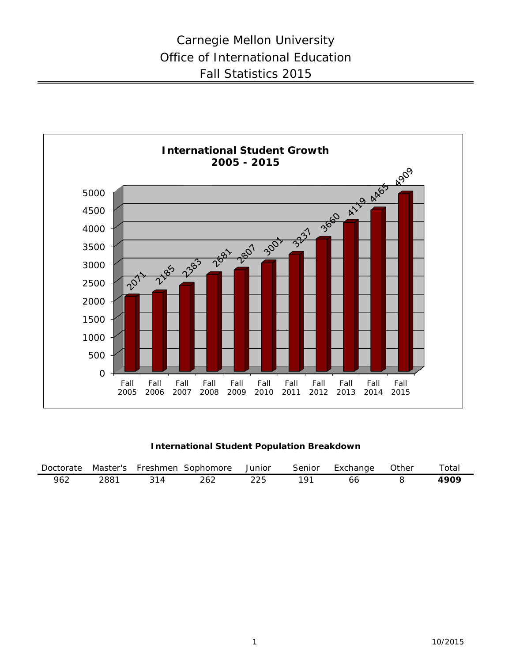

### **International Student Population Breakdown**

| Doctorate | Master's | Freshmen | Sophomore | Junior | Senior | Exchange | つther | <sup>r</sup> otai |
|-----------|----------|----------|-----------|--------|--------|----------|-------|-------------------|
| 962       | 288.     |          | 262       |        | ∽ ∩    | oc       |       | 490 <sup>c</sup>  |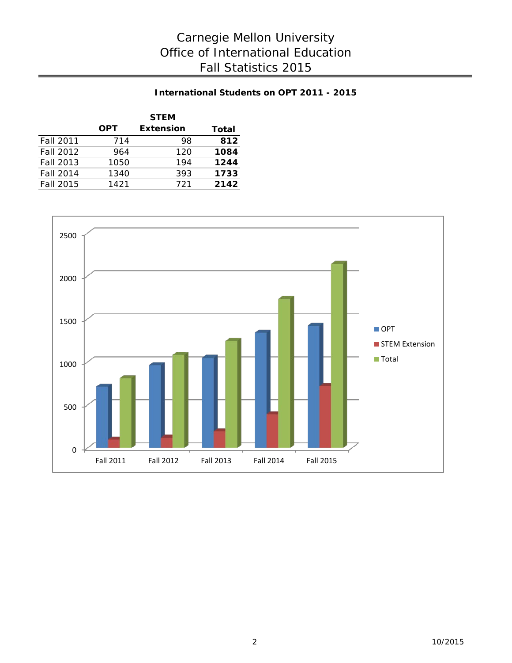## **International Students on OPT 2011 - 2015**

|                  |            | <b>STEM</b>      |       |
|------------------|------------|------------------|-------|
|                  | <b>OPT</b> | <b>Extension</b> | Total |
| <b>Fall 2011</b> | 714        | 98               | 812   |
| Fall 2012        | 964        | 120              | 1084  |
| Fall 2013        | 1050       | 194              | 1244  |
| Fall 2014        | 1340       | 393              | 1733  |
| Fall 2015        | 1421       | 721              | 2142  |

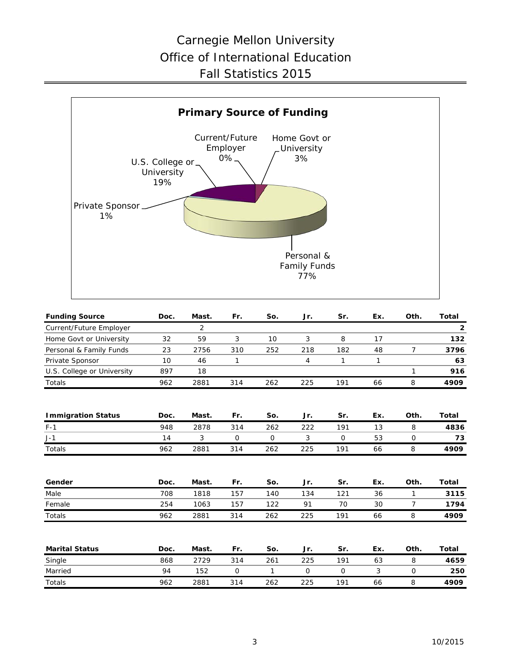## Carnegie Mellon University Office of International Education Fall Statistics 2015



| <b>Funding Source</b>      | Doc. | Mast. | Fr. | So. | Jr.         | Sr.         | Ex.          | Oth.           | Total        |
|----------------------------|------|-------|-----|-----|-------------|-------------|--------------|----------------|--------------|
| Current/Future Employer    |      | 2     |     |     |             |             |              |                | $\mathbf{2}$ |
| Home Govt or University    | 32   | 59    | 3   | 10  | 3           | 8           | 17           |                | 132          |
| Personal & Family Funds    | 23   | 2756  | 310 | 252 | 218         | 182         | 48           | $\overline{7}$ | 3796         |
| Private Sponsor            | 10   | 46    | 1   |     | 4           | 1           | $\mathbf{1}$ |                | 63           |
| U.S. College or University | 897  | 18    |     |     |             |             |              | 1              | 916          |
| Totals                     | 962  | 2881  | 314 | 262 | 225         | 191         | 66           | 8              | 4909         |
| <b>Immigration Status</b>  | Doc. | Mast. | Fr. | So. | Jr.         | Sr.         | Ex.          | Oth.           | Total        |
| $F-1$                      | 948  | 2878  | 314 | 262 | 222         | 191         | 13           | 8              | 4836         |
| $J-1$                      | 14   | 3     | 0   | 0   | 3           | $\mathbf 0$ | 53           | $\mathsf{O}$   | 73           |
| Totals                     | 962  | 2881  | 314 | 262 | 225         | 191         | 66           | 8              | 4909         |
|                            |      |       |     |     |             |             |              |                |              |
| Gender                     | Doc. | Mast. | Fr. | So. | Jr.         | Sr.         | Ex.          | Oth.           | Total        |
| Male                       | 708  | 1818  | 157 | 140 | 134         | 121         | 36           | 1              | 3115         |
| Female                     | 254  | 1063  | 157 | 122 | 91          | 70          | 30           | $\overline{7}$ | 1794         |
| Totals                     | 962  | 2881  | 314 | 262 | 225         | 191         | 66           | 8              | 4909         |
| <b>Marital Status</b>      | Doc. | Mast. | Fr. | So. | Jr.         | Sr.         | Ex.          | Oth.           | <b>Total</b> |
|                            | 868  | 2729  | 314 | 261 | 225         | 191         | 63           | 8              | 4659         |
| Single<br>Married          | 94   | 152   | 0   | 1   | $\mathbf 0$ | $\mathbf 0$ | 3            | $\mathsf{O}$   | 250          |
| Totals                     | 962  | 2881  | 314 | 262 | 225         | 191         | 66           | 8              | 4909         |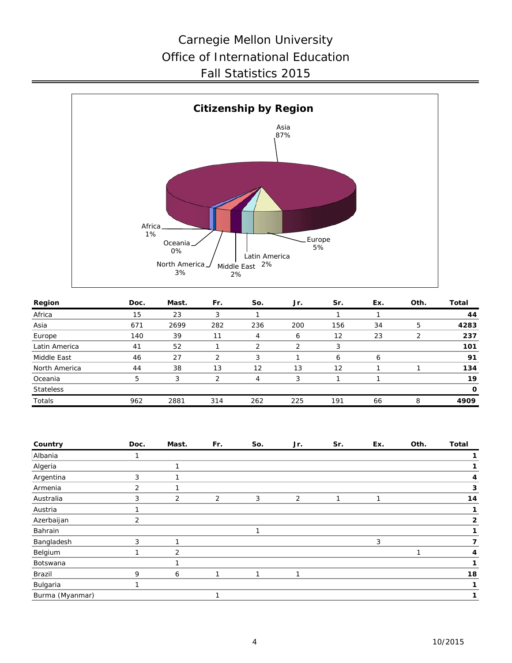# Carnegie Mellon University Office of International Education Fall Statistics 2015



| Region           | Doc. | Mast. | Fr. | So.               | Jr. | Sr.               | Ex. | Oth. | Total        |
|------------------|------|-------|-----|-------------------|-----|-------------------|-----|------|--------------|
| Africa           | 15   | 23    |     |                   |     |                   |     |      | 44           |
| Asia             | 671  | 2699  | 282 | 236               | 200 | 156               | 34  | 5    | 4283         |
| Europe           | 140  | 39    | 11  | 4                 | 6   | $12 \overline{ }$ | 23  |      | 237          |
| Latin America    | 41   | 52    |     |                   | っ   |                   |     |      | 101          |
| Middle East      | 46   | 27    | 2   | 3                 |     | 6                 | 6   |      | 91           |
| North America    | 44   | 38    | 13  | $12 \overline{ }$ | 13  | 12                |     |      | 134          |
| Oceania          | 5    | 3     | ⌒   | 4                 | 3   |                   |     |      | 19           |
| <b>Stateless</b> |      |       |     |                   |     |                   |     |      | $\mathbf{o}$ |
| Totals           | 962  | 2881  | 314 | 262               | 225 | 191               | 66  | 8    | 4909         |
|                  |      |       |     |                   |     |                   |     |      |              |

| Country         | Doc.           | Mast. | Fr. | So. | Jr. | Sr. | Ex. | Oth. | <b>Total</b> |
|-----------------|----------------|-------|-----|-----|-----|-----|-----|------|--------------|
| Albania         |                |       |     |     |     |     |     |      |              |
| Algeria         |                |       |     |     |     |     |     |      |              |
| Argentina       | 3              |       |     |     |     |     |     |      | 4            |
| Armenia         | $\overline{2}$ |       |     |     |     |     |     |      | 3            |
| Australia       | 3              | 2     | 2   | 3   | 2   |     |     |      | 14           |
| Austria         |                |       |     |     |     |     |     |      |              |
| Azerbaijan      | 2              |       |     |     |     |     |     |      | 2            |
| Bahrain         |                |       |     | 1   |     |     |     |      |              |
| Bangladesh      | 3              |       |     |     |     |     | 3   |      | 7            |
| Belgium         |                | 2     |     |     |     |     |     |      | 4            |
| Botswana        |                |       |     |     |     |     |     |      |              |
| Brazil          | 9              | 6     |     |     | 1   |     |     |      | 18           |
| Bulgaria        |                |       |     |     |     |     |     |      |              |
| Burma (Myanmar) |                |       |     |     |     |     |     |      |              |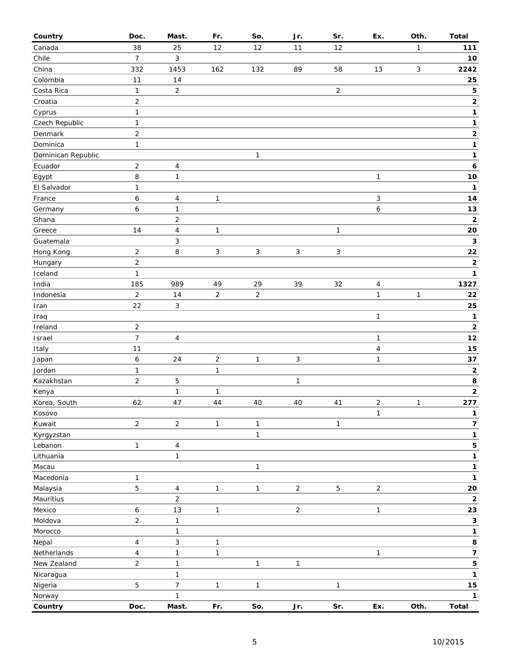| Country            | Doc.           | Mast.                   | Fr.            | So.            | Jr.            | Sr.            | Ex.            | Oth.         | <b>Total</b>            |
|--------------------|----------------|-------------------------|----------------|----------------|----------------|----------------|----------------|--------------|-------------------------|
| Canada             | 38             | 25                      | 12             | 12             | 11             | 12             |                | 1            | 111                     |
| Chile              | $\overline{7}$ | 3                       |                |                |                |                |                |              | $10$                    |
| China              | 332            | 1453                    | 162            | 132            | 89             | 58             | 13             | $\mathsf{3}$ | 2242                    |
| Colombia           | 11             | 14                      |                |                |                |                |                |              | 25                      |
| Costa Rica         | $\mathbf{1}$   | $\overline{c}$          |                |                |                | $\overline{2}$ |                |              | 5                       |
| Croatia            | $\overline{c}$ |                         |                |                |                |                |                |              | $\mathbf 2$             |
| Cyprus             | 1              |                         |                |                |                |                |                |              | $\mathbf 1$             |
| Czech Republic     | $\mathbf{1}$   |                         |                |                |                |                |                |              | $\mathbf 1$             |
| Denmark            | $\overline{2}$ |                         |                |                |                |                |                |              | $\mathbf 2$             |
| Dominica           | 1              |                         |                |                |                |                |                |              | $\mathbf{1}$            |
| Dominican Republic |                |                         |                | $\mathbf{1}$   |                |                |                |              | $\mathbf{1}$            |
| Ecuador            | 2              | 4                       |                |                |                |                |                |              | 6                       |
| Egypt              | 8              | $\mathbf{1}$            |                |                |                |                | $\mathbf{1}$   |              | $10$                    |
| El Salvador        | $\mathbf{1}$   |                         |                |                |                |                |                |              | $\mathbf{1}$            |
| France             | 6              |                         | $\mathbf{1}$   |                |                |                | 3              |              | 14                      |
|                    | 6              | 4                       |                |                |                |                |                |              | $13$                    |
| Germany            |                | $\mathbf{1}$            |                |                |                |                | 6              |              | $\mathbf 2$             |
| Ghana              |                | $\overline{c}$          |                |                |                |                |                |              |                         |
| Greece             | 14             | 4                       | $\mathbf{1}$   |                |                | $\mathbf{1}$   |                |              | 20                      |
| Guatemala          |                | 3                       |                |                |                |                |                |              | $\mathbf 3$             |
| Hong Kong          | 2              | $\, 8$                  | 3              | $\sqrt{3}$     | 3              | $\sqrt{3}$     |                |              | 22                      |
| Hungary            | $\overline{c}$ |                         |                |                |                |                |                |              | $\mathbf 2$             |
| Iceland            | 1              |                         |                |                |                |                |                |              | $\mathbf{1}$            |
| India              | 185            | 989                     | 49             | 29             | 39             | 32             | $\overline{4}$ |              | 1327                    |
| Indonesia          | $\overline{2}$ | 14                      | $\overline{2}$ | $\overline{c}$ |                |                | $\mathbf{1}$   | $\mathbf{1}$ | 22                      |
| Iran               | 22             | 3                       |                |                |                |                |                |              | 25                      |
| Iraq               |                |                         |                |                |                |                | $\mathbf{1}$   |              | 1                       |
| Ireland            | $\overline{2}$ |                         |                |                |                |                |                |              | $\mathbf 2$             |
| Israel             | $\overline{7}$ | $\overline{\mathbf{4}}$ |                |                |                |                | $\mathbf{1}$   |              | $12$                    |
| Italy              | 11             |                         |                |                |                |                | $\overline{4}$ |              | 15                      |
| Japan              | 6              | 24                      | $\overline{c}$ | 1              | $\mathbf{3}$   |                | $\mathbf{1}$   |              | 37                      |
| Jordan             | 1              |                         | $\mathbf{1}$   |                |                |                |                |              | $\mathbf 2$             |
| Kazakhstan         | $\overline{2}$ | 5                       |                |                | $\mathbf{1}$   |                |                |              | 8                       |
| Kenya              |                | $\mathbf{1}$            | 1              |                |                |                |                |              | $\mathbf 2$             |
| Korea, South       | 62             | 47                      | 44             | 40             | 40             | 41             | $\overline{2}$ | $\mathbf{1}$ | 277                     |
| Kosovo             |                |                         |                |                |                |                | $\mathbf{1}$   |              | 1                       |
| Kuwait             | $\overline{2}$ | $\sqrt{2}$              | $\mathbf{1}$   | $\mathbf{1}$   |                | $\mathbf{1}$   |                |              | $\overline{\mathbf{7}}$ |
| Kyrgyzstan         |                |                         |                | 1              |                |                |                |              | 1                       |
| Lebanon            | 1              | 4                       |                |                |                |                |                |              | 5                       |
| Lithuania          |                | $\mathbf{1}$            |                |                |                |                |                |              | $\mathbf 1$             |
| Macau              |                |                         |                | $\mathbf{1}$   |                |                |                |              | 1                       |
| Macedonia          | 1              |                         |                |                |                |                |                |              | 1                       |
| Malaysia           | 5              | 4                       | $\mathbf{1}$   | $\mathbf{1}$   | $\overline{2}$ | $\mathbf 5$    | $\overline{2}$ |              | 20                      |
| Mauritius          |                | $\overline{c}$          |                |                |                |                |                |              | $\mathbf 2$             |
| Mexico             | 6              | 13                      | $\mathbf{1}$   |                | $\overline{2}$ |                | $\mathbf{1}$   |              | 23                      |
| Moldova            | $\overline{c}$ | $\mathbf{1}$            |                |                |                |                |                |              | 3                       |
| Morocco            |                | 1                       |                |                |                |                |                |              | 1                       |
| Nepal              | 4              | 3                       | $\mathbf{1}$   |                |                |                |                |              | 8                       |
| Netherlands        | 4              | 1                       | 1              |                |                |                | $\mathbf{1}$   |              | $\overline{\mathbf{z}}$ |
| New Zealand        | $\overline{2}$ | 1                       |                | $\mathbf{1}$   | $\mathbf{1}$   |                |                |              | 5                       |
| Nicaragua          |                | $\mathbf{1}$            |                |                |                |                |                |              | $\mathbf{1}$            |
| Nigeria            | 5              | $\overline{7}$          | $\mathbf{1}$   | $\mathbf{1}$   |                | $\mathbf{1}$   |                |              | 15                      |
| Norway             |                | 1                       |                |                |                |                |                |              | $\mathbf{1}$            |
| Country            | Doc.           | Mast.                   | Fr.            | So.            | Jr.            | Sr.            | Ex.            | Oth.         | <b>Total</b>            |
|                    |                |                         |                |                |                |                |                |              |                         |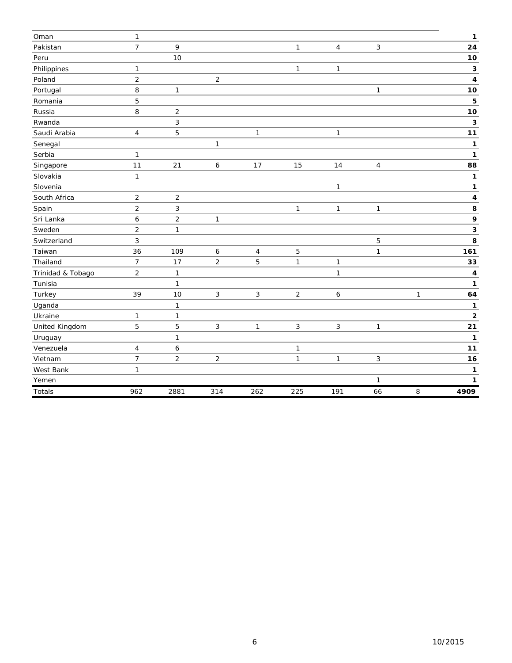| Oman              | 1              |                |                |                |                |                |              |   | 1                       |
|-------------------|----------------|----------------|----------------|----------------|----------------|----------------|--------------|---|-------------------------|
| Pakistan          | $\overline{7}$ | 9              |                |                | $\mathbf{1}$   | $\overline{4}$ | 3            |   | 24                      |
| Peru              |                | 10             |                |                |                |                |              |   | 10                      |
| Philippines       | 1              |                |                |                | $\mathbf{1}$   | 1              |              |   | 3                       |
| Poland            | $\overline{2}$ |                | $\overline{2}$ |                |                |                |              |   | 4                       |
| Portugal          | 8              | 1              |                |                |                |                | 1            |   | 10                      |
| Romania           | 5              |                |                |                |                |                |              |   | 5                       |
| Russia            | 8              | $\overline{2}$ |                |                |                |                |              |   | 10                      |
| Rwanda            |                | 3              |                |                |                |                |              |   | 3                       |
| Saudi Arabia      | 4              | 5              |                | $\mathbf{1}$   |                | $\mathbf{1}$   |              |   | 11                      |
| Senegal           |                |                | 1              |                |                |                |              |   | 1                       |
| Serbia            | 1              |                |                |                |                |                |              |   | 1                       |
| Singapore         | 11             | 21             | 6              | 17             | 15             | 14             | 4            |   | 88                      |
| Slovakia          | $\mathbf{1}$   |                |                |                |                |                |              |   | 1                       |
| Slovenia          |                |                |                |                |                | $\mathbf{1}$   |              |   | $\mathbf{1}$            |
| South Africa      | $\overline{c}$ | $\overline{c}$ |                |                |                |                |              |   | 4                       |
| Spain             | $\overline{2}$ | 3              |                |                | $\mathbf{1}$   | 1              | 1            |   | 8                       |
| Sri Lanka         | 6              | $\overline{c}$ | 1              |                |                |                |              |   | 9                       |
| Sweden            | $\overline{c}$ | $\mathbf{1}$   |                |                |                |                |              |   | 3                       |
| Switzerland       | 3              |                |                |                |                |                | 5            |   | 8                       |
| Taiwan            | 36             | 109            | 6              | $\overline{4}$ | 5              |                | 1            |   | 161                     |
| Thailand          | $\overline{7}$ | 17             | $\overline{2}$ | 5              | $\mathbf{1}$   | $\mathbf{1}$   |              |   | 33                      |
| Trinidad & Tobago | $\overline{2}$ | $\mathbf{1}$   |                |                |                | $\mathbf{1}$   |              |   | $\overline{\mathbf{4}}$ |
| Tunisia           |                | $\mathbf{1}$   |                |                |                |                |              |   | 1                       |
| Turkey            | 39             | 10             | 3              | $\mathbf{3}$   | $\overline{2}$ | 6              |              | 1 | 64                      |
| Uganda            |                | $\mathbf{1}$   |                |                |                |                |              |   | 1                       |
| Ukraine           | 1              | $\mathbf{1}$   |                |                |                |                |              |   | $\mathbf 2$             |
| United Kingdom    | 5              | 5              | 3              | $\mathbf{1}$   | $\mathbf{3}$   | $\mathbf{3}$   | $\mathbf{1}$ |   | 21                      |
| Uruguay           |                | $\mathbf{1}$   |                |                |                |                |              |   | 1                       |
| Venezuela         | 4              | 6              |                |                | $\mathbf{1}$   |                |              |   | 11                      |
| Vietnam           | $\overline{7}$ | $\overline{2}$ | $\overline{c}$ |                | $\mathbf{1}$   | $\mathbf{1}$   | 3            |   | 16                      |
| West Bank         | 1              |                |                |                |                |                |              |   | 1                       |
| Yemen             |                |                |                |                |                |                | 1            |   | 1                       |
| Totals            | 962            | 2881           | 314            | 262            | 225            | 191            | 66           | 8 | 4909                    |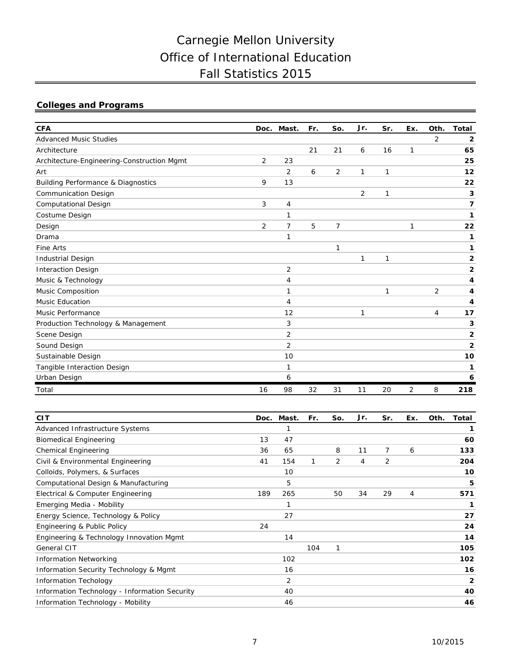# Carnegie Mellon University Office of International Education Fall Statistics 2015

## **Colleges and Programs**

| <b>CFA</b>                                    |                | Doc. Mast.     | Fr. | So. | Jr.            | Sr.          | Ex. | Oth.           | <b>Total</b>            |
|-----------------------------------------------|----------------|----------------|-----|-----|----------------|--------------|-----|----------------|-------------------------|
| <b>Advanced Music Studies</b>                 |                |                |     |     |                |              |     | $\overline{2}$ | $\mathbf{2}$            |
| Architecture                                  |                |                | 21  | 21  | 6              | 16           | 1   |                | 65                      |
| Architecture-Engineering-Construction Mgmt    | $\overline{2}$ | 23             |     |     |                |              |     |                | 25                      |
| Art                                           |                | 2              | 6   | 2   | 1              | $\mathbf{1}$ |     |                | 12                      |
| <b>Building Performance &amp; Diagnostics</b> | 9              | 13             |     |     |                |              |     |                | 22                      |
| <b>Communication Design</b>                   |                |                |     |     | $\overline{2}$ | 1            |     |                | 3                       |
| <b>Computational Design</b>                   | 3              | 4              |     |     |                |              |     |                | 7                       |
| Costume Design                                |                | 1              |     |     |                |              |     |                | 1                       |
| Design                                        | 2              | 7              | 5   | 7   |                |              |     |                | 22                      |
| Drama                                         |                | 1              |     |     |                |              |     |                | 1                       |
| Fine Arts                                     |                |                |     | 1   |                |              |     |                | 1                       |
| <b>Industrial Design</b>                      |                |                |     |     | 1              | $\mathbf{1}$ |     |                | $\overline{2}$          |
| <b>Interaction Design</b>                     |                | $\overline{2}$ |     |     |                |              |     |                | $\overline{2}$          |
| Music & Technology                            |                | 4              |     |     |                |              |     |                | 4                       |
| Music Composition                             |                | 1              |     |     |                | 1            |     | 2              | 4                       |
| <b>Music Education</b>                        |                | 4              |     |     |                |              |     |                | 4                       |
| Music Performance                             |                | 12             |     |     | 1              |              |     | 4              | 17                      |
| Production Technology & Management            |                | 3              |     |     |                |              |     |                | 3                       |
| Scene Design                                  |                | $\overline{2}$ |     |     |                |              |     |                | $\overline{\mathbf{2}}$ |
| Sound Design                                  |                | 2              |     |     |                |              |     |                | $\overline{2}$          |
| Sustainable Design                            |                | 10             |     |     |                |              |     |                | 10                      |
| Tangible Interaction Design                   |                | 1              |     |     |                |              |     |                | 1                       |
| Urban Design                                  |                | 6              |     |     |                |              |     |                | 6                       |
| Total                                         | 16             | 98             | 32  | 31  | 11             | 20           | 2   | 8              | 218                     |

| <b>CIT</b>                                    |     | Doc. Mast.     | Fr. | So. | Jr. | Sr. | Ex. | Oth. | Total          |
|-----------------------------------------------|-----|----------------|-----|-----|-----|-----|-----|------|----------------|
| Advanced Infrastructure Systems               |     | 1              |     |     |     |     |     |      | 1              |
| <b>Biomedical Engineering</b>                 | 13  | 47             |     |     |     |     |     |      | 60             |
| <b>Chemical Engineering</b>                   | 36  | 65             |     | 8   | 11  | 7   | 6   |      | 133            |
| Civil & Environmental Engineering             | 41  | 154            | 1   | 2   | 4   | 2   |     |      | 204            |
| Colloids, Polymers, & Surfaces                |     | 10             |     |     |     |     |     |      | 10             |
| Computational Design & Manufacturing          |     | 5              |     |     |     |     |     |      | 5              |
| Electrical & Computer Engineering             | 189 | 265            |     | 50  | 34  | 29  | 4   |      | 571            |
| Emerging Media - Mobility                     |     | 1              |     |     |     |     |     |      | 1              |
| Energy Science, Technology & Policy           |     | 27             |     |     |     |     |     |      | 27             |
| Engineering & Public Policy                   | 24  |                |     |     |     |     |     |      | 24             |
| Engineering & Technology Innovation Mgmt      |     | 14             |     |     |     |     |     |      | 14             |
| General CIT                                   |     |                | 104 | 1   |     |     |     |      | 105            |
| <b>Information Networking</b>                 |     | 102            |     |     |     |     |     |      | 102            |
| Information Security Technology & Mgmt        |     | 16             |     |     |     |     |     |      | 16             |
| <b>Information Techology</b>                  |     | $\overline{2}$ |     |     |     |     |     |      | $\overline{2}$ |
| Information Technology - Information Security |     | 40             |     |     |     |     |     |      | 40             |
| Information Technology - Mobility             |     | 46             |     |     |     |     |     |      | 46             |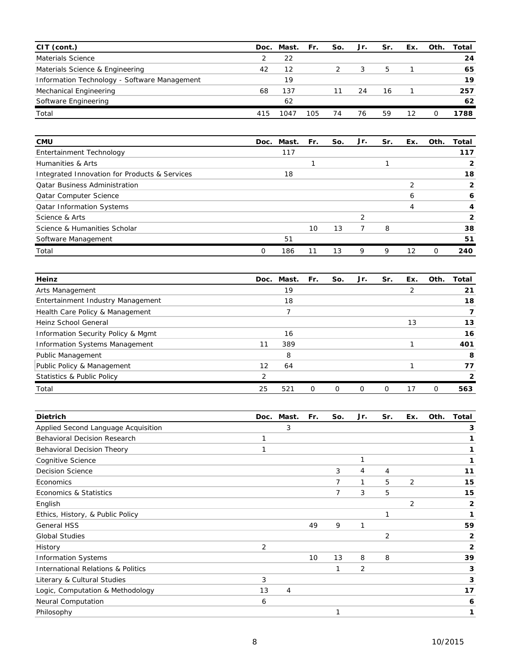| CIT (cont.)                                  | Doc. | Mast. Fr. |     | So. | Jr. | Sr. | Ex. | Oth. | Total |
|----------------------------------------------|------|-----------|-----|-----|-----|-----|-----|------|-------|
| Materials Science                            |      | 22        |     |     |     |     |     |      | 24    |
| Materials Science & Engineering              | 42   | 12        |     |     | 3   | 5   |     |      | 65    |
| Information Technology - Software Management |      | 19        |     |     |     |     |     |      | 19    |
| Mechanical Engineering                       | 68   | 137       |     | 11  | 24  | 16  |     |      | 257   |
| Software Engineering                         |      | 62        |     |     |     |     |     |      | 62    |
| Total                                        | 415  | 104       | 105 | 74  | 76  | 59  | 12  | Ω    | 1788  |

| <b>CMU</b>                                    | Doc. | Mast. | Fr. | So. | Jr. | Sr. | Ex. | Oth. | Total |
|-----------------------------------------------|------|-------|-----|-----|-----|-----|-----|------|-------|
| Entertainment Technology                      |      | 117   |     |     |     |     |     |      | 117   |
| Humanities & Arts                             |      |       |     |     |     |     |     |      |       |
| Integrated Innovation for Products & Services |      | 18    |     |     |     |     |     |      | 18    |
| <b>Qatar Business Administration</b>          |      |       |     |     |     |     |     |      | 2     |
| <b>Qatar Computer Science</b>                 |      |       |     |     |     |     | 6   |      | 6     |
| <b>Qatar Information Systems</b>              |      |       |     |     |     |     | 4   |      | 4     |
| Science & Arts                                |      |       |     |     | ົ   |     |     |      | 2     |
| Science & Humanities Scholar                  |      |       | 10  | 13  |     | 8   |     |      | 38    |
| Software Management                           |      | 51    |     |     |     |     |     |      | 51    |
| Total                                         | 0    | 186   |     | 13  | 9   | 9   | 12  | 0    | 240   |

| Heinz                                 | Doc. | Mast. | Fr.      | So.            | Jr. | Sr. | Ex. | Oth.           | Total |
|---------------------------------------|------|-------|----------|----------------|-----|-----|-----|----------------|-------|
| Arts Management                       |      | 19    |          |                |     |     |     |                | 21    |
| Entertainment Industry Management     |      | 18    |          |                |     |     |     |                | 18    |
| Health Care Policy & Management       |      |       |          |                |     |     |     |                |       |
| Heinz School General                  |      |       |          |                |     |     | 13  |                | 13    |
| Information Security Policy & Mgmt    |      | 16    |          |                |     |     |     |                | 16    |
| Information Systems Management        |      | 389   |          |                |     |     |     |                | 401   |
| <b>Public Management</b>              |      | 8     |          |                |     |     |     |                | 8     |
| Public Policy & Management            | 12   | 64    |          |                |     |     |     |                | 77    |
| <b>Statistics &amp; Public Policy</b> | っ    |       |          |                |     |     |     |                | 2     |
| Total                                 | 25   | 521   | $\Omega$ | $\overline{O}$ | 0   | 0   | 17  | $\overline{O}$ | 563   |

| <b>Dietrich</b>                               | Doc. | Mast. | Fr. | So. | Jr. | Sr. | Ex. | Oth. | Total        |
|-----------------------------------------------|------|-------|-----|-----|-----|-----|-----|------|--------------|
| Applied Second Language Acquisition           |      | 3     |     |     |     |     |     |      | 3            |
| Behavioral Decision Research                  | 1    |       |     |     |     |     |     |      | 1            |
| Behavioral Decision Theory                    | 1    |       |     |     |     |     |     |      | 1            |
| Cognitive Science                             |      |       |     |     | 1   |     |     |      | 1            |
| <b>Decision Science</b>                       |      |       |     | 3   | 4   | 4   |     |      | 11           |
| Economics                                     |      |       |     | 7   | 1   | 5   | 2   |      | 15           |
| Economics & Statistics                        |      |       |     | 7   | 3   | 5   |     |      | 15           |
| English                                       |      |       |     |     |     |     | 2   |      | $\mathbf{2}$ |
| Ethics, History, & Public Policy              |      |       |     |     |     | 1   |     |      | 1            |
| <b>General HSS</b>                            |      |       | 49  | 9   | 1   |     |     |      | 59           |
| <b>Global Studies</b>                         |      |       |     |     |     | 2   |     |      | 2            |
| History                                       | 2    |       |     |     |     |     |     |      | 2            |
| <b>Information Systems</b>                    |      |       | 10  | 13  | 8   | 8   |     |      | 39           |
| <b>International Relations &amp; Politics</b> |      |       |     | 1   | 2   |     |     |      | 3            |
| Literary & Cultural Studies                   | 3    |       |     |     |     |     |     |      | 3            |
| Logic, Computation & Methodology              | 13   | 4     |     |     |     |     |     |      | 17           |
| <b>Neural Computation</b>                     | 6    |       |     |     |     |     |     |      | 6            |
| Philosophy                                    |      |       |     |     |     |     |     |      | 1            |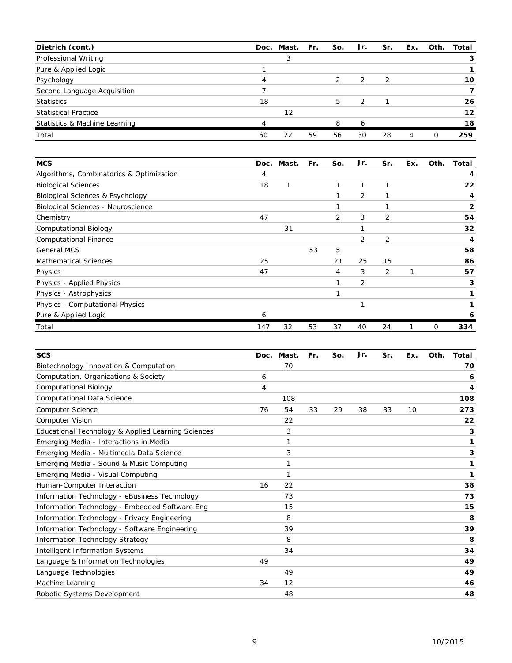| Dietrich (cont.)              |                | Doc. Mast. Fr. |    | So. | Jr. | Sr. | Ex.                         |   | Oth. Total |
|-------------------------------|----------------|----------------|----|-----|-----|-----|-----------------------------|---|------------|
| Professional Writing          |                | 3              |    |     |     |     |                             |   |            |
| Pure & Applied Logic          |                |                |    |     |     |     |                             |   |            |
| Psychology                    | 4              |                |    |     | 2   | 2   |                             |   | 10         |
| Second Language Acquisition   |                |                |    |     |     |     |                             |   |            |
| <b>Statistics</b>             | 18             |                |    | 5   | 2   |     |                             |   | 26         |
| <b>Statistical Practice</b>   |                | 12             |    |     |     |     |                             |   | 12         |
| Statistics & Machine Learning | $\overline{A}$ |                |    | 8   | 6   |     |                             |   | 18         |
| Total                         | 60             | 22             | 59 | 56  | 30  | 28  | $\boldsymbol{\vartriangle}$ | O | 259        |

| <b>MCS</b>                                  | Doc. | Mast. | Fr. | So. | Jr.            | Sr.         | Ex. | Oth. | Total        |
|---------------------------------------------|------|-------|-----|-----|----------------|-------------|-----|------|--------------|
| Algorithms, Combinatorics & Optimization    | 4    |       |     |     |                |             |     |      | 4            |
| <b>Biological Sciences</b>                  | 18   | 1     |     | 1   | 1              | $\mathbf 1$ |     |      | 22           |
| <b>Biological Sciences &amp; Psychology</b> |      |       |     |     | 2              |             |     |      | 4            |
| Biological Sciences - Neuroscience          |      |       |     |     |                |             |     |      | $\mathbf{2}$ |
| Chemistry                                   | 47   |       |     | 2   | 3              | 2           |     |      | 54           |
| <b>Computational Biology</b>                |      | 31    |     |     | 1              |             |     |      | 32           |
| <b>Computational Finance</b>                |      |       |     |     | 2              | 2           |     |      | 4            |
| General MCS                                 |      |       | 53  | 5   |                |             |     |      | 58           |
| <b>Mathematical Sciences</b>                | 25   |       |     | 21  | 25             | 15          |     |      | 86           |
| Physics                                     | 47   |       |     | 4   | 3              | 2           | 1   |      | 57           |
| Physics - Applied Physics                   |      |       |     |     | $\overline{2}$ |             |     |      | 3            |
| Physics - Astrophysics                      |      |       |     |     |                |             |     |      |              |
| Physics - Computational Physics             |      |       |     |     | 1              |             |     |      |              |
| Pure & Applied Logic                        | 6    |       |     |     |                |             |     |      | 6            |
| Total                                       | 147  | 32    | 53  | 37  | 40             | 24          |     | 0    | 334          |

| <b>SCS</b>                                         | Doc. | Mast. | Fr. | So. | Jr. | Sr. | Ex. | Oth. | Total |
|----------------------------------------------------|------|-------|-----|-----|-----|-----|-----|------|-------|
| Biotechnology Innovation & Computation             |      | 70    |     |     |     |     |     |      | 70    |
| Computation, Organizations & Society               | 6    |       |     |     |     |     |     |      | 6     |
| <b>Computational Biology</b>                       | 4    |       |     |     |     |     |     |      | 4     |
| Computational Data Science                         |      | 108   |     |     |     |     |     |      | 108   |
| <b>Computer Science</b>                            | 76   | 54    | 33  | 29  | 38  | 33  | 10  |      | 273   |
| <b>Computer Vision</b>                             |      | 22    |     |     |     |     |     |      | 22    |
| Educational Technology & Applied Learning Sciences |      | 3     |     |     |     |     |     |      | 3     |
| Emerging Media - Interactions in Media             |      | 1     |     |     |     |     |     |      | 1     |
| Emerging Media - Multimedia Data Science           |      | 3     |     |     |     |     |     |      | 3     |
| Emerging Media - Sound & Music Computing           |      | 1     |     |     |     |     |     |      | 1     |
| Emerging Media - Visual Computing                  |      | 1     |     |     |     |     |     |      | 1     |
| Human-Computer Interaction                         | 16   | 22    |     |     |     |     |     |      | 38    |
| Information Technology - eBusiness Technology      |      | 73    |     |     |     |     |     |      | 73    |
| Information Technology - Embedded Software Eng     |      | 15    |     |     |     |     |     |      | 15    |
| Information Technology - Privacy Engineering       |      | 8     |     |     |     |     |     |      | 8     |
| Information Technology - Software Engineering      |      | 39    |     |     |     |     |     |      | 39    |
| Information Technology Strategy                    |      | 8     |     |     |     |     |     |      | 8     |
| <b>Intelligent Information Systems</b>             |      | 34    |     |     |     |     |     |      | 34    |
| Language & Information Technologies                | 49   |       |     |     |     |     |     |      | 49    |
| Language Technologies                              |      | 49    |     |     |     |     |     |      | 49    |
| Machine Learning                                   | 34   | 12    |     |     |     |     |     |      | 46    |
| Robotic Systems Development                        |      | 48    |     |     |     |     |     |      | 48    |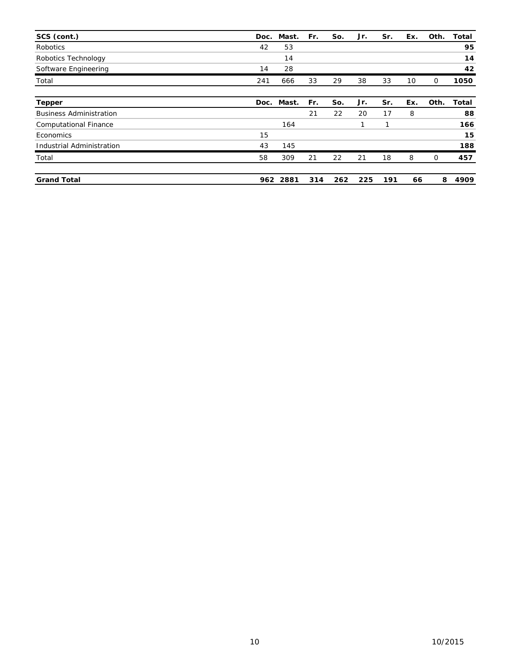| SCS (cont.)                    | Doc. | Mast. | Fr. | So. | Jr. | Sr. | Ex. | Oth. | <b>Total</b> |
|--------------------------------|------|-------|-----|-----|-----|-----|-----|------|--------------|
| <b>Robotics</b>                | 42   | 53    |     |     |     |     |     |      | 95           |
| Robotics Technology            |      | 14    |     |     |     |     |     |      | 14           |
| Software Engineering           | 14   | 28    |     |     |     |     |     |      | 42           |
| Total                          | 241  | 666   | 33  | 29  | 38  | 33  | 10  | 0    | 1050         |
| <b>Tepper</b>                  | Doc. | Mast. | Fr. | So. | Jr. | Sr. | Ex. | Oth. | <b>Total</b> |
| <b>Business Administration</b> |      |       | 21  | 22  | 20  | 17  | 8   |      | 88           |
| <b>Computational Finance</b>   |      | 164   |     |     | 1   | 1   |     |      | 166          |
| Economics                      | 15   |       |     |     |     |     |     |      | 15           |
| Industrial Administration      | 43   | 145   |     |     |     |     |     |      | 188          |
| Total                          | 58   | 309   | 21  | 22  | 21  | 18  | 8   | 0    | 457          |
| <b>Grand Total</b>             | 962  | 2881  | 314 | 262 | 225 | 191 | 66  | 8    | 4909         |